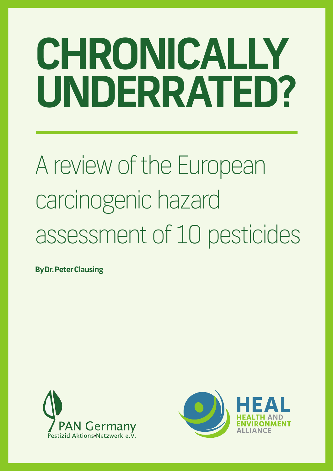# **CHRONICALLY UNDERRATED?**

## A review of the European carcinogenic hazard assessment of 10 pesticides

**By Dr. Peter Clausing**



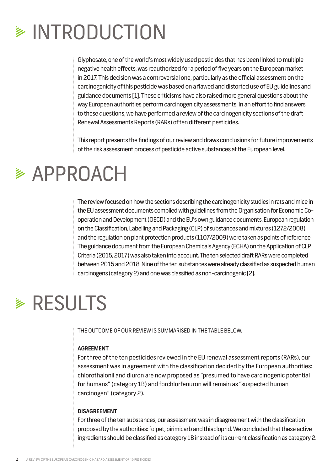### **EXAMPLE INTRODUCTION**

Glyphosate, one of the world's most widely used pesticides that has been linked to multiple negative health effects, was reauthorized for a period of five years on the European market in 2017. This decision was a controversial one, particularly as the official assessment on the carcinogenicity of this pesticide was based on a flawed and distorted use of EU guidelines and guidance documents [1]. These criticisms have also raised more general questions about the way European authorities perform carcinogenicity assessments. In an effort to find answers to these questions, we have performed a review of the carcinogenicity sections of the draft Renewal Assessments Reports (RARs) of ten different pesticides.

This report presents the findings of our review and draws conclusions for future improvements of the risk assessment process of pesticide active substances at the European level.

### **≥ APPROACH**

The review focused on how the sections describing the carcinogenicity studies in rats and mice in the EU assessment documents complied with guidelines from the Organisation for Economic Cooperation and Development (OECD) and the EU's own guidance documents. European regulation on the Classification, Labelling and Packaging (CLP) of substances and mixtures (1272/2008) and the regulation on plant protection products (1107/2009) were taken as points of reference. The guidance document from the European Chemicals Agency (ECHA) on the Application of CLP Criteria (2015, 2017) was also taken into account. The ten selected draft RARs were completed between 2015 and 2018. Nine of the ten substances were already classified as suspected human carcinogens (category 2) and one was classified as non-carcinogenic [2].

### **EXECULTS**

THE OUTCOME OF OUR REVIEW IS SUMMARISED IN THE TABLE BELOW.

#### **AGREEMENT**

For three of the ten pesticides reviewed in the EU renewal assessment reports (RARs), our assessment was in agreement with the classification decided by the European authorities: chlorothalonil and diuron are now proposed as "presumed to have carcinogenic potential for humans" (category 1B) and forchlorfenuron will remain as "suspected human carcinogen" (category 2).

#### **DISAGREEMENT**

For three of the ten substances, our assessment was in disagreement with the classification proposed by the authorities: folpet, pirimicarb and thiacloprid. We concluded that these active ingredients should be classified as category 1B instead of its current classification as category 2.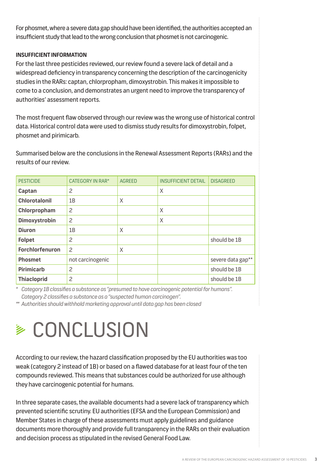For phosmet, where a severe data gap should have been identified, the authorities accepted an insufficient study that lead to the wrong conclusion that phosmet is not carcinogenic.

#### **INSUFFICIENT INFORMATION**

For the last three pesticides reviewed, our review found a severe lack of detail and a widespread deficiency in transparency concerning the description of the carcinogenicity studies in the RARs: captan, chlorpropham, dimoxystrobin. This makes it impossible to come to a conclusion, and demonstrates an urgent need to improve the transparency of authorities' assessment reports.

The most frequent flaw observed through our review was the wrong use of historical control data. Historical control data were used to dismiss study results for dimoxystrobin, folpet, phosmet and pirimicarb.

Summarised below are the conclusions in the Renewal Assessment Reports (RARs) and the results of our review.

| <b>PESTICIDE</b>       | <b>CATEGORY IN RAR*</b> | <b>AGREED</b> | <b>INSUFFICIENT DETAIL</b> | <b>DISAGREED</b>  |
|------------------------|-------------------------|---------------|----------------------------|-------------------|
| Captan                 | $\overline{c}$          |               | X                          |                   |
| <b>Chlorotalonil</b>   | 1B                      | X             |                            |                   |
| Chlorpropham           | $\overline{c}$          |               | X                          |                   |
| <b>Dimoxystrobin</b>   | $\overline{c}$          |               | X                          |                   |
| <b>Diuron</b>          | 1B                      | X             |                            |                   |
| <b>Folpet</b>          | $\overline{c}$          |               |                            | should be 1B      |
| <b>Forchlorfenuron</b> | 2                       | X             |                            |                   |
| <b>Phosmet</b>         | not carcinogenic        |               |                            | severe data gap** |
| <b>Pirimicarb</b>      | $\overline{c}$          |               |                            | should be 1B      |
| <b>Thiacloprid</b>     | $\overline{c}$          |               |                            | should be 1B      |

*\* Category 1B classifies a substance as "presumed to have carcinogenic potential for humans". Category 2 classifies a substance as a "suspected human carcinogen".* 

*\*\* Authorities should withhold marketing approval until data gap has been closed*

### **≽ CONCLUSION**

According to our review, the hazard classification proposed by the EU authorities was too weak (category 2 instead of 1B) or based on a flawed database for at least four of the ten compounds reviewed. This means that substances could be authorized for use although they have carcinogenic potential for humans.

In three separate cases, the available documents had a severe lack of transparency which prevented scientific scrutiny. EU authorities (EFSA and the European Commission) and Member States in charge of these assessments must apply guidelines and guidance documents more thoroughly and provide full transparency in the RARs on their evaluation and decision process as stipulated in the revised General Food Law.